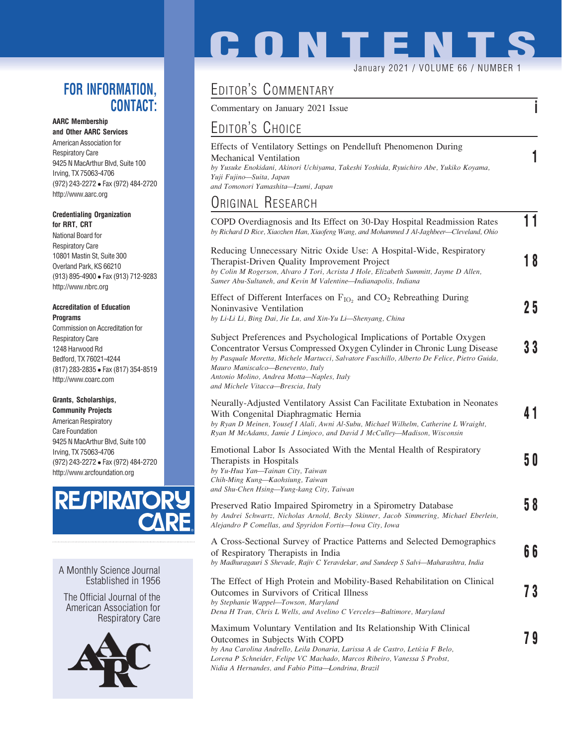#### FOR INFORMATION, CONTACT:

AARC Membership

and Other AARC Services American Association for Respiratory Care 9425 N MacArthur Blvd, Suite 100 Irving, TX 75063-4706 (972) 243-2272 Fax (972) 484-2720 http://www.aarc.org

#### Credentialing Organization for RRT, CRT

National Board for Respiratory Care 10801 Mastin St, Suite 300 Overland Park, KS 66210 (913) 895-4900 Fax (913) 712-9283 http://www.nbrc.org

#### Accreditation of Education **Programs**

Commission on Accreditation for Respiratory Care 1248 Harwood Rd Bedford, TX 76021-4244 (817) 283-2835 Fax (817) 354-8519 http://www.coarc.com

#### Grants, Scholarships,

Community Projects American Respiratory Care Foundation 9425 N MacArthur Blvd, Suite 100 Irving, TX 75063-4706 (972) 243-2272 Fax (972) 484-2720 http://www.arcfoundation.org



A Monthly Science Journal Established in 1956

The Official Journal of the American Association for Respiratory Care



# **CONTENTS**

January 2021 / VOLUME 66 / NUMBER

## EDITOR'S COMMENTARY

Commentary on January 2021 Issue in the state is a state of the state in the state in the state is a state of the state in the state in the state is a state of the state in the state in the state in the state in the state

### EDITOR'S CHOICE

Effects of Ventilatory Settings on Pendelluft Phenomenon During Mechanical Ventilation 1 by Yusuke Enokidani, Akinori Uchiyama, Takeshi Yoshida, Ryuichiro Abe, Yukiko Koyama, Yuji Fujino—Suita, Japan and Tomonori Yamashita—Izumi, Japan

#### ORIGINAL RESEARCH

| COPD Overdiagnosis and Its Effect on 30-Day Hospital Readmission Rates<br>by Richard D Rice, Xiaozhen Han, Xiaofeng Wang, and Mohammed J Al-Jaghbeer-Cleveland, Ohio                                                                                                                                                                                                     | 11 |
|--------------------------------------------------------------------------------------------------------------------------------------------------------------------------------------------------------------------------------------------------------------------------------------------------------------------------------------------------------------------------|----|
| Reducing Unnecessary Nitric Oxide Use: A Hospital-Wide, Respiratory<br>Therapist-Driven Quality Improvement Project<br>by Colin M Rogerson, Alvaro J Tori, Acrista J Hole, Elizabeth Summitt, Jayme D Allen,<br>Samer Abu-Sultaneh, and Kevin M Valentine-Indianapolis, Indiana                                                                                          | 18 |
| Effect of Different Interfaces on $F_{IO_2}$ and $CO_2$ Rebreathing During<br>Noninvasive Ventilation<br>by Li-Li Li, Bing Dai, Jie Lu, and Xin-Yu Li-Shenyang, China                                                                                                                                                                                                    | 25 |
| Subject Preferences and Psychological Implications of Portable Oxygen<br>Concentrator Versus Compressed Oxygen Cylinder in Chronic Lung Disease<br>by Pasquale Moretta, Michele Martucci, Salvatore Fuschillo, Alberto De Felice, Pietro Guida,<br>Mauro Maniscalco-Benevento, Italy<br>Antonio Molino, Andrea Motta-Naples, Italy<br>and Michele Vitacca-Brescia, Italy | 33 |
| Neurally-Adjusted Ventilatory Assist Can Facilitate Extubation in Neonates<br>With Congenital Diaphragmatic Hernia<br>by Ryan D Meinen, Yousef I Alali, Awni Al-Subu, Michael Wilhelm, Catherine L Wraight,<br>Ryan M McAdams, Jamie J Limjoco, and David J McCulley—Madison, Wisconsin                                                                                  |    |
| Emotional Labor Is Associated With the Mental Health of Respiratory<br>Therapists in Hospitals<br>by Yu-Hua Yan-Tainan City, Taiwan<br>Chih-Ming Kung-Kaohsiung, Taiwan<br>and Shu-Chen Hsing-Yung-kang City, Taiwan                                                                                                                                                     | 50 |
| Preserved Ratio Impaired Spirometry in a Spirometry Database<br>by Andrei Schwartz, Nicholas Arnold, Becky Skinner, Jacob Simmering, Michael Eberlein,<br>Alejandro P Comellas, and Spyridon Fortis-lowa City, Iowa                                                                                                                                                      | 58 |
| A Cross-Sectional Survey of Practice Patterns and Selected Demographics<br>of Respiratory Therapists in India<br>by Madhuragauri S Shevade, Rajiv C Yeravdekar, and Sundeep S Salvi-Maharashtra, India                                                                                                                                                                   | 66 |
| The Effect of High Protein and Mobility-Based Rehabilitation on Clinical<br>Outcomes in Survivors of Critical Illness<br>by Stephanie Wappel-Towson, Maryland<br>Dena H Tran, Chris L Wells, and Avelino C Verceles-Baltimore, Maryland                                                                                                                                  | 73 |
| Maximum Voluntary Ventilation and Its Relationship With Clinical<br>Outcomes in Subjects With COPD<br>by Ana Carolina Andrello, Leila Donaria, Larissa A de Castro, Letícia F Belo,<br>Lorena P Schneider, Felipe VC Machado, Marcos Ribeiro, Vanessa S Probst,                                                                                                          | 79 |

Nidia A Hernandes, and Fabio Pitta—Londrina, Brazil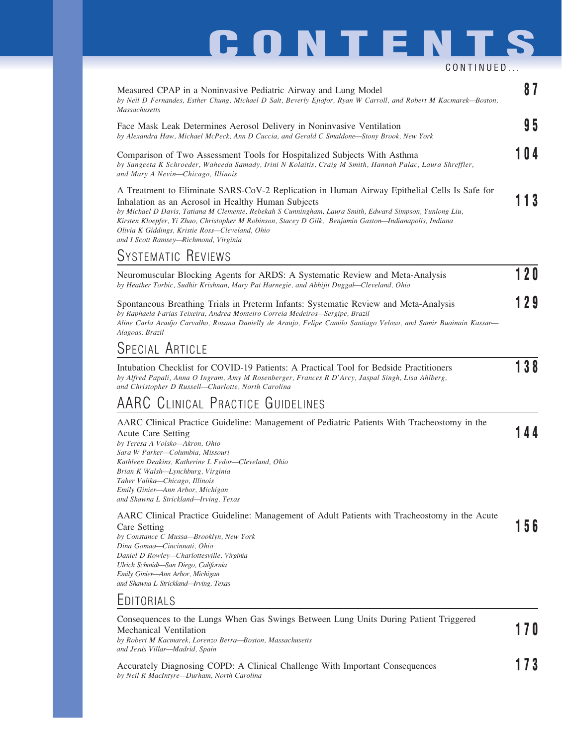## **CONTENTS**

CONTINUED... Measured CPAP in a Noninvasive Pediatric Airway and Lung Model 8 7 by Neil D Fernandes, Esther Chung, Michael D Salt, Beverly Ejiofor, Ryan W Carroll, and Robert M Kacmarek—Boston, Massachusetts Face Mask Leak Determines Aerosol Delivery in Noninvasive Ventilation by Alexandra Haw, Michael McPeck, Ann D Cuccia, and Gerald C Smaldone—Stony Brook, New York Comparison of Two Assessment Tools for Hospitalized Subjects With Asthma 104 by Sangeeta K Schroeder, Waheeda Samady, Irini N Kolaitis, Craig M Smith, Hannah Palac, Laura Shreffler, and Mary A Nevin—Chicago, Illinois A Treatment to Eliminate SARS-CoV-2 Replication in Human Airway Epithelial Cells Is Safe for Inhalation as an Aerosol in Healthy Human Subjects 113 by Michael D Davis, Tatiana M Clemente, Rebekah S Cunningham, Laura Smith, Edward Simpson, Yunlong Liu, Kirsten Kloepfer, Yi Zhao, Christopher M Robinson, Stacey D Gilk, Benjamin Gaston—Indianapolis, Indiana Olivia K Giddings, Kristie Ross—Cleveland, Ohio and I Scott Ramsey—Richmond, Virginia SYSTEMATIC REVIEWS Neuromuscular Blocking Agents for ARDS: A Systematic Review and Meta-Analysis 120 by Heather Torbic, Sudhir Krishnan, Mary Pat Harnegie, and Abhijit Duggal—Cleveland, Ohio Spontaneous Breathing Trials in Preterm Infants: Systematic Review and Meta-Analysis 129 by Raphaela Farias Teixeira, Andrea Monteiro Correia Medeiros—Sergipe, Brazil

SPECIAL ARTICLE

Alagoas, Brazil

Intubation Checklist for COVID-19 Patients: A Practical Tool for Bedside Practitioners 138 by Alfred Papali, Anna O Ingram, Amy M Rosenberger, Frances R D'Arcy, Jaspal Singh, Lisa Ahlberg, and Christopher D Russell—Charlotte, North Carolina

Aline Carla Arau´jo Carvalho, Rosana Danielly de Araujo, Felipe Camilo Santiago Veloso, and Samir Buainain Kassar—

#### AARC CLINICAL PRACTICE GUIDELINES

| AARC Clinical Practice Guideline: Management of Pediatric Patients With Tracheostomy in the                                                    |     |
|------------------------------------------------------------------------------------------------------------------------------------------------|-----|
| Acute Care Setting                                                                                                                             | 144 |
| by Teresa A Volsko—Akron, Ohio                                                                                                                 |     |
| Sara W Parker-Columbia, Missouri                                                                                                               |     |
| Kathleen Deakins, Katherine L Fedor-Cleveland, Ohio                                                                                            |     |
| Brian K Walsh—Lynchburg, Virginia                                                                                                              |     |
| Taher Valika—Chicago, Illinois                                                                                                                 |     |
| Emily Ginier—Ann Arbor, Michigan                                                                                                               |     |
| and Shawna L Strickland-Irving, Texas                                                                                                          |     |
| AARC Clinical Practice Guideline: Management of Adult Patients with Tracheostomy in the Acute                                                  |     |
| Care Setting                                                                                                                                   | 156 |
| $l_{\cdots}$ $C_{\cdots}$ $l_{\cdots}$ $C_{\cdots}$ $M_{\cdots}$ $R_{\cdots}$ $R_{\cdots}$ $L_{\cdots}$ $M_{\cdots}$ $V_{\cdots}$ $L_{\cdots}$ |     |

by Constance C Mussa—Brooklyn, New York Dina Gomaa—Cincinnati, Ohio Daniel D Rowley—Charlottesville, Virginia Ulrich Schmidt—San Diego, California Emily Ginier—Ann Arbor, Michigan and Shawna L Strickland—Irving, Texas

by Neil R MacIntyre—Durham, North Carolina

#### **EDITORIALS**

Consequences to the Lungs When Gas Swings Between Lung Units During Patient Triggered Mechanical Ventilation  $\mathcal{E}$  and  $\mathcal{E}$  and  $\mathcal{E}$  and  $\mathcal{E}$  and  $\mathcal{E}$  and  $\mathcal{E}$  170 by Robert M Kacmarek, Lorenzo Berra—Boston, Massachusetts and Jesu´s Villar—Madrid, Spain Accurately Diagnosing COPD: A Clinical Challenge With Important Consequences 173